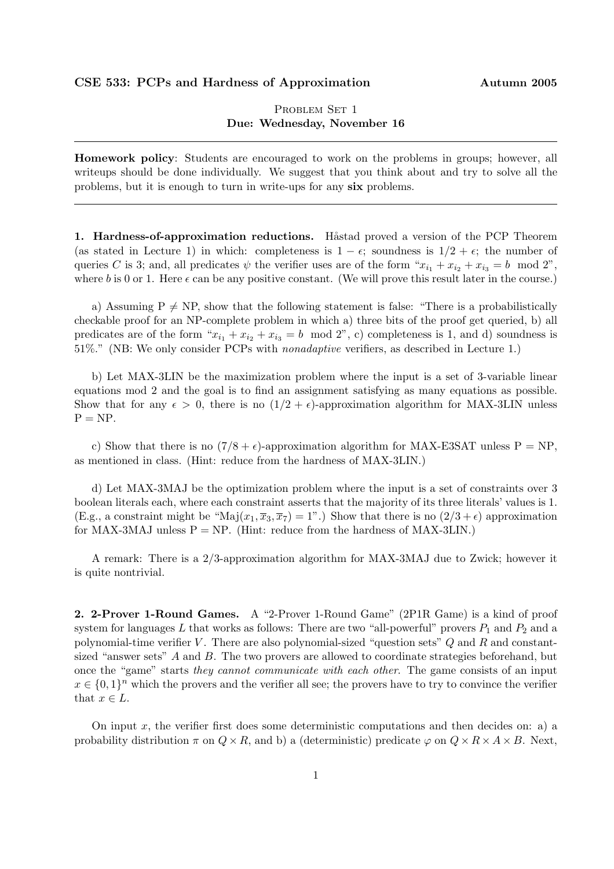## CSE 533: PCPs and Hardness of Approximation Autumn 2005

## PROBLEM SET 1 Due: Wednesday, November 16

Homework policy: Students are encouraged to work on the problems in groups; however, all writeups should be done individually. We suggest that you think about and try to solve all the problems, but it is enough to turn in write-ups for any six problems.

1. Hardness-of-approximation reductions. Håstad proved a version of the PCP Theorem (as stated in Lecture 1) in which: completeness is  $1 - \epsilon$ ; soundness is  $1/2 + \epsilon$ ; the number of queries C is 3; and, all predicates  $\psi$  the verifier uses are of the form " $x_{i_1} + x_{i_2} + x_{i_3} = b \mod 2$ ", where b is 0 or 1. Here  $\epsilon$  can be any positive constant. (We will prove this result later in the course.)

a) Assuming  $P \neq NP$ , show that the following statement is false: "There is a probabilistically checkable proof for an NP-complete problem in which a) three bits of the proof get queried, b) all predicates are of the form " $x_{i_1} + x_{i_2} + x_{i_3} = b \mod 2$ ", c) completeness is 1, and d) soundness is 51%." (NB: We only consider PCPs with nonadaptive verifiers, as described in Lecture 1.)

b) Let MAX-3LIN be the maximization problem where the input is a set of 3-variable linear equations mod 2 and the goal is to find an assignment satisfying as many equations as possible. Show that for any  $\epsilon > 0$ , there is no  $(1/2 + \epsilon)$ -approximation algorithm for MAX-3LIN unless  $P = NP$ .

c) Show that there is no  $(7/8 + \epsilon)$ -approximation algorithm for MAX-E3SAT unless P = NP, as mentioned in class. (Hint: reduce from the hardness of MAX-3LIN.)

d) Let MAX-3MAJ be the optimization problem where the input is a set of constraints over 3 boolean literals each, where each constraint asserts that the majority of its three literals' values is 1. (E.g., a constraint might be "Maj $(x_1, \overline{x}_3, \overline{x}_7) = 1$ ".) Show that there is no  $(2/3 + \epsilon)$  approximation for MAX-3MAJ unless  $P = NP$ . (Hint: reduce from the hardness of MAX-3LIN.)

A remark: There is a 2/3-approximation algorithm for MAX-3MAJ due to Zwick; however it is quite nontrivial.

2. 2-Prover 1-Round Games. A "2-Prover 1-Round Game" (2P1R Game) is a kind of proof system for languages L that works as follows: There are two "all-powerful" provers  $P_1$  and  $P_2$  and a polynomial-time verifier  $V$ . There are also polynomial-sized "question sets"  $Q$  and  $R$  and constantsized "answer sets" A and B. The two provers are allowed to coordinate strategies beforehand, but once the "game" starts they cannot communicate with each other. The game consists of an input  $x \in \{0,1\}^n$  which the provers and the verifier all see; the provers have to try to convince the verifier that  $x \in L$ .

On input x, the verifier first does some deterministic computations and then decides on: a) a probability distribution  $\pi$  on  $Q \times R$ , and b) a (deterministic) predicate  $\varphi$  on  $Q \times R \times A \times B$ . Next,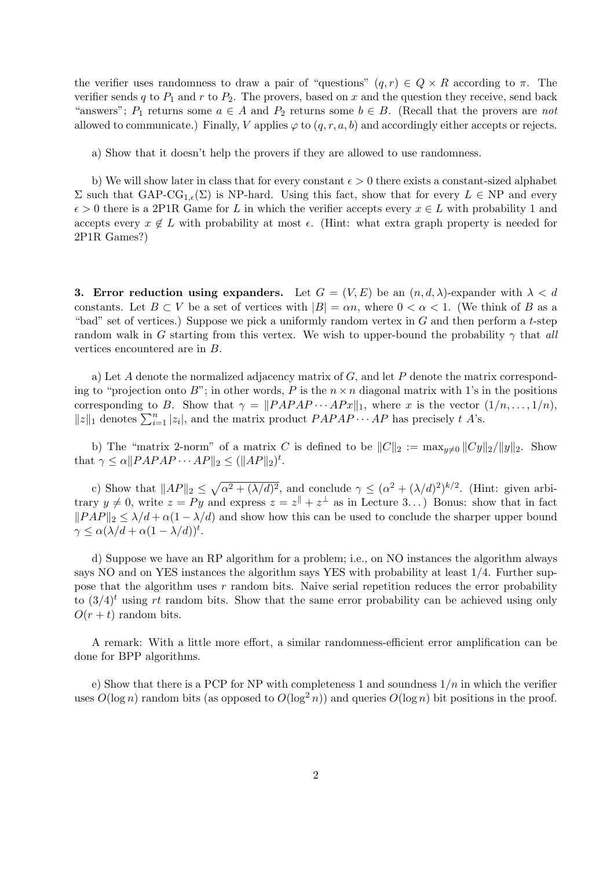the verifier uses randomness to draw a pair of "questions"  $(q, r) \in Q \times R$  according to  $\pi$ . The verifier sends q to  $P_1$  and r to  $P_2$ . The provers, based on x and the question they receive, send back "answers";  $P_1$  returns some  $a \in A$  and  $P_2$  returns some  $b \in B$ . (Recall that the provers are not allowed to communicate.) Finally, V applies  $\varphi$  to  $(q, r, a, b)$  and accordingly either accepts or rejects.

a) Show that it doesn't help the provers if they are allowed to use randomness.

b) We will show later in class that for every constant  $\epsilon > 0$  there exists a constant-sized alphabet Σ such that GAP-CG<sub>1, $ε$ </sub>(Σ) is NP-hard. Using this fact, show that for every  $L ∈ NP$  and every  $\epsilon > 0$  there is a 2P1R Game for L in which the verifier accepts every  $x \in L$  with probability 1 and accepts every  $x \notin L$  with probability at most  $\epsilon$ . (Hint: what extra graph property is needed for 2P1R Games?)

3. Error reduction using expanders. Let  $G = (V, E)$  be an  $(n, d, \lambda)$ -expander with  $\lambda < d$ constants. Let  $B \subset V$  be a set of vertices with  $|B| = \alpha n$ , where  $0 < \alpha < 1$ . (We think of B as a "bad" set of vertices.) Suppose we pick a uniformly random vertex in  $G$  and then perform a t-step random walk in G starting from this vertex. We wish to upper-bound the probability  $\gamma$  that all vertices encountered are in B.

a) Let  $A$  denote the normalized adjacency matrix of  $G$ , and let  $P$  denote the matrix corresponding to "projection onto B"; in other words, P is the  $n \times n$  diagonal matrix with 1's in the positions corresponding to B. Show that  $\gamma = ||PAPAP \cdots APx||_1$ , where x is the vector  $(1/n, \ldots, 1/n)$ , corresponding to *D*. Show that  $\gamma = ||FATAT \cdots ATx||_1$ , where *x* is the vector  $||z||_1$  denotes  $\sum_{i=1}^n |z_i|$ , and the matrix product  $PAPAP \cdots AP$  has precisely *t A*'s.

b) The "matrix 2-norm" of a matrix C is defined to be  $||C||_2 := \max_{y\neq 0} ||Cy||_2/||y||_2$ . Show that  $\gamma \leq \alpha \| PAPAP \cdots AP \|_2 \leq ( \|AP\|_2)^t$ .

c) Show that  $||AP||_2 \leq$  $\mathcal{L}$  $\alpha^2 + (\lambda/d)^2$ , and conclude  $\gamma \leq (\alpha^2 + (\lambda/d)^2)^{k/2}$ . (Hint: given arbitrary  $y \neq 0$ , write  $z = Py$  and express  $z = z^{\parallel} + z^{\perp}$  as in Lecture 3...) Bonus: show that in fact  $||PAP||_2 \le \lambda/d + \alpha(1 - \lambda/d)$  and show how this can be used to conclude the sharper upper bound  $\gamma \leq \alpha (\lambda/d + \alpha(1-\lambda/d))^t$ .

d) Suppose we have an RP algorithm for a problem; i.e., on NO instances the algorithm always says NO and on YES instances the algorithm says YES with probability at least 1/4. Further suppose that the algorithm uses  $r$  random bits. Naive serial repetition reduces the error probability to  $(3/4)^t$  using rt random bits. Show that the same error probability can be achieved using only  $O(r + t)$  random bits.

A remark: With a little more effort, a similar randomness-efficient error amplification can be done for BPP algorithms.

e) Show that there is a PCP for NP with completeness 1 and soundness  $1/n$  in which the verifier uses  $O(\log n)$  random bits (as opposed to  $O(\log^2 n)$ ) and queries  $O(\log n)$  bit positions in the proof.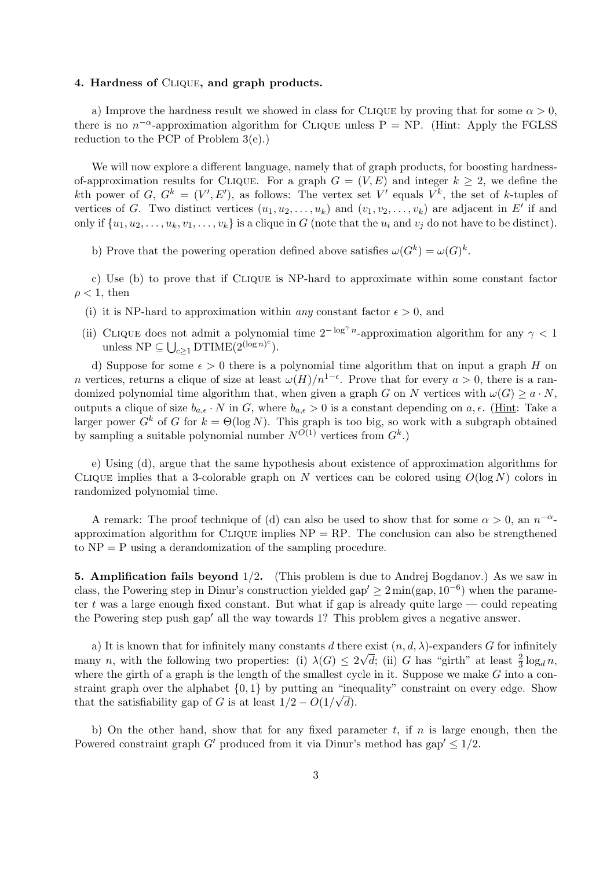## 4. Hardness of Clique, and graph products.

a) Improve the hardness result we showed in class for CLIQUE by proving that for some  $\alpha > 0$ , there is no  $n^{-\alpha}$ -approximation algorithm for CLIQUE unless P = NP. (Hint: Apply the FGLSS reduction to the PCP of Problem 3(e).)

We will now explore a different language, namely that of graph products, for boosting hardnessof-approximation results for CLIQUE. For a graph  $G = (V, E)$  and integer  $k \geq 2$ , we define the kth power of G,  $G^k = (V', E')$ , as follows: The vertex set V' equals  $V^k$ , the set of k-tuples of vertices of G. Two distinct vertices  $(u_1, u_2, \ldots, u_k)$  and  $(v_1, v_2, \ldots, v_k)$  are adjacent in E' if and only if  $\{u_1, u_2, \ldots, u_k, v_1, \ldots, v_k\}$  is a clique in G (note that the  $u_i$  and  $v_j$  do not have to be distinct).

b) Prove that the powering operation defined above satisfies  $\omega(G^k) = \omega(G)^k$ .

c) Use (b) to prove that if Clique is NP-hard to approximate within some constant factor  $\rho < 1$ , then

- (i) it is NP-hard to approximation within *any* constant factor  $\epsilon > 0$ , and
- (ii) CLIQUE does not admit a polynomial time  $2^{-\log^{\gamma} n}$ -approximation algorithm for any  $\gamma < 1$ unless  $NP \subseteq \bigcup_{c \geq 1} DTIME(2^{(\log n)^c}).$

d) Suppose for some  $\epsilon > 0$  there is a polynomial time algorithm that on input a graph H on n vertices, returns a clique of size at least  $\omega(H)/n^{1-\epsilon}$ . Prove that for every  $a > 0$ , there is a randomized polynomial time algorithm that, when given a graph G on N vertices with  $\omega(G) \geq a \cdot N$ , outputs a clique of size  $b_{a,\epsilon} \cdot N$  in G, where  $b_{a,\epsilon} > 0$  is a constant depending on  $a, \epsilon$ . (Hint: Take a larger power  $G^k$  of G for  $k = \Theta(\log N)$ . This graph is too big, so work with a subgraph obtained by sampling a suitable polynomial number  $N^{O(1)}$  vertices from  $G^k$ .

e) Using (d), argue that the same hypothesis about existence of approximation algorithms for CLIQUE implies that a 3-colorable graph on N vertices can be colored using  $O(\log N)$  colors in randomized polynomial time.

A remark: The proof technique of (d) can also be used to show that for some  $\alpha > 0$ , an  $n^{-\alpha}$ approximation algorithm for CLIQUE implies  $NP = RP$ . The conclusion can also be strengthened to  $NP = P$  using a derandomization of the sampling procedure.

5. Amplification fails beyond 1/2. (This problem is due to Andrej Bogdanov.) As we saw in class, the Powering step in Dinur's construction yielded gap'  $\geq 2 \min(\text{gap}, 10^{-6})$  when the parameter t was a large enough fixed constant. But what if gap is already quite large  $\sim$  could repeating the Powering step push gap<sup>'</sup> all the way towards 1? This problem gives a negative answer.

a) It is known that for infinitely many constants d there exist  $(n, d, \lambda)$ -expanders G for infinitely many n, with the following two properties: (i)  $\lambda(G) \leq 2\sqrt{d}$ ; (ii) G has "girth" at least  $\frac{2}{3} \log_d n$ , where the girth of a graph is the length of the smallest cycle in it. Suppose we make  $G$  into a constraint graph over the alphabet  $\{0,1\}$  by putting an "inequality" constraint on every edge. Show that the satisfiability gap of G is at least  $1/2 - O(1/\sqrt{d})$ .

b) On the other hand, show that for any fixed parameter t, if n is large enough, then the Powered constraint graph G' produced from it via Dinur's method has gap'  $\leq 1/2$ .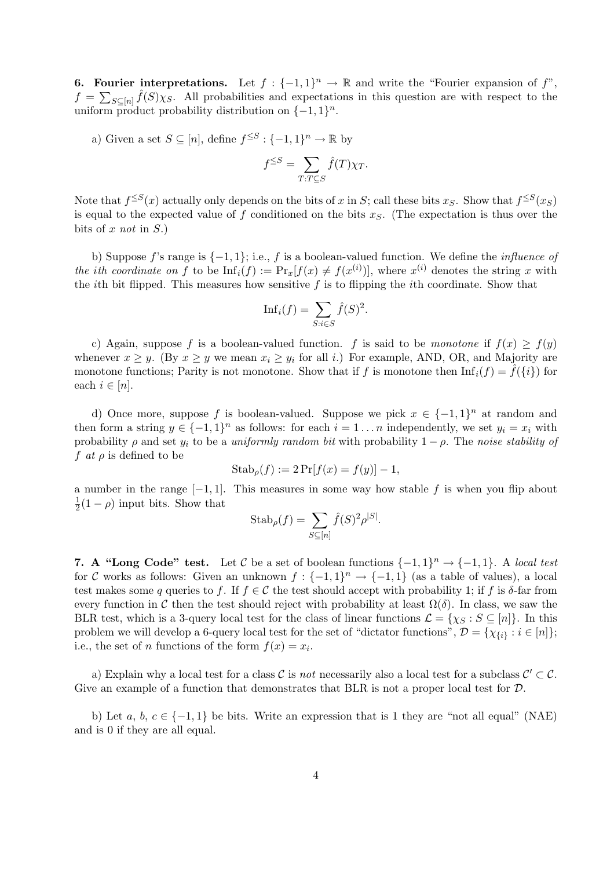**6. Fourier interpretations.** Let  $f: \{-1,1\}^n \to \mathbb{R}$  and write the "Fourier expansion of f",  $f =$ οι  $\sum_{S\subseteq[n]} \hat{f}(S) \chi_S$ . All probabilities and expectations in this question are with respect to the uniform product probability distribution on  $\{-1,1\}^n$ .

a) Given a set  $S \subseteq [n]$ , define  $f^{\leq S} : \{-1,1\}^n \to \mathbb{R}$  by

$$
f^{\leq S} = \sum_{T:T \subseteq S} \hat{f}(T)\chi_T.
$$

Note that  $f^{\leq S}(x)$  actually only depends on the bits of x in S; call these bits  $x_S$ . Show that  $f^{\leq S}(x_S)$ is equal to the expected value of f conditioned on the bits  $x<sub>S</sub>$ . (The expectation is thus over the bits of x not in  $S$ .)

b) Suppose f's range is {−1, 1}; i.e., f is a boolean-valued function. We define the influence of the ith coordinate on f to be  $\text{Inf}_i(f) := \Pr_x[f(x) \neq f(x^{(i)})]$ , where  $x^{(i)}$  denotes the string x with the *i*th bit flipped. This measures how sensitive  $f$  is to flipping the *i*th coordinate. Show that

$$
\text{Inf}_i(f) = \sum_{S: i \in S} \hat{f}(S)^2.
$$

c) Again, suppose f is a boolean-valued function. f is said to be monotone if  $f(x) \geq f(y)$ whenever  $x \geq y$ . (By  $x \geq y$  we mean  $x_i \geq y_i$  for all i.) For example, AND, OR, and Majority are monotone functions; Parity is not monotone. Show that if f is monotone then  $\text{Inf}_i(f) = f(\{i\})$  for each  $i \in [n]$ .

d) Once more, suppose f is boolean-valued. Suppose we pick  $x \in \{-1,1\}^n$  at random and then form a string  $y \in \{-1,1\}^n$  as follows: for each  $i = 1 \ldots n$  independently, we set  $y_i = x_i$  with probability  $\rho$  and set  $y_i$  to be a uniformly random bit with probability  $1 - \rho$ . The noise stability of f at  $\rho$  is defined to be

$$
Stab_{\rho}(f) := 2\Pr[f(x) = f(y)] - 1,
$$

a number in the range  $[-1, 1]$ . This measures in some way how stable f is when you flip about 1  $\frac{1}{2}(1-\rho)$  input bits. Show that

$$
Stab_{\rho}(f) = \sum_{S \subseteq [n]} \hat{f}(S)^2 \rho^{|S|}.
$$

7. A "Long Code" test. Let C be a set of boolean functions  $\{-1,1\}^n \rightarrow \{-1,1\}$ . A local test for C works as follows: Given an unknown  $f: \{-1,1\}^n \to \{-1,1\}$  (as a table of values), a local test makes some q queries to f. If  $f \in \mathcal{C}$  the test should accept with probability 1; if f is  $\delta$ -far from every function in C then the test should reject with probability at least  $\Omega(\delta)$ . In class, we saw the BLR test, which is a 3-query local test for the class of linear functions  $\mathcal{L} = \{ \chi_S : S \subseteq [n] \}$ . In this problem we will develop a 6-query local test for the set of "dictator functions",  $\mathcal{D} = \{\chi_{\{i\}} : i \in [n]\};$ i.e., the set of *n* functions of the form  $f(x) = x_i$ .

a) Explain why a local test for a class C is not necessarily also a local test for a subclass  $\mathcal{C}' \subset \mathcal{C}$ . Give an example of a function that demonstrates that BLR is not a proper local test for  $\mathcal{D}$ .

b) Let a, b,  $c \in \{-1,1\}$  be bits. Write an expression that is 1 they are "not all equal" (NAE) and is 0 if they are all equal.